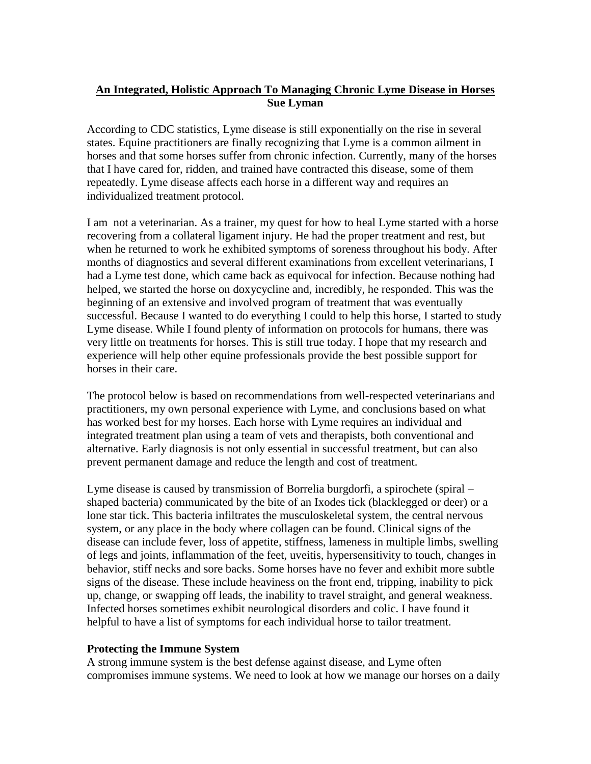# **An Integrated, Holistic Approach To Managing Chronic Lyme Disease in Horses Sue Lyman**

According to CDC statistics, Lyme disease is still exponentially on the rise in several states. Equine practitioners are finally recognizing that Lyme is a common ailment in horses and that some horses suffer from chronic infection. Currently, many of the horses that I have cared for, ridden, and trained have contracted this disease, some of them repeatedly. Lyme disease affects each horse in a different way and requires an individualized treatment protocol.

I am not a veterinarian. As a trainer, my quest for how to heal Lyme started with a horse recovering from a collateral ligament injury. He had the proper treatment and rest, but when he returned to work he exhibited symptoms of soreness throughout his body. After months of diagnostics and several different examinations from excellent veterinarians, I had a Lyme test done, which came back as equivocal for infection. Because nothing had helped, we started the horse on doxycycline and, incredibly, he responded. This was the beginning of an extensive and involved program of treatment that was eventually successful. Because I wanted to do everything I could to help this horse, I started to study Lyme disease. While I found plenty of information on protocols for humans, there was very little on treatments for horses. This is still true today. I hope that my research and experience will help other equine professionals provide the best possible support for horses in their care.

The protocol below is based on recommendations from well-respected veterinarians and practitioners, my own personal experience with Lyme, and conclusions based on what has worked best for my horses. Each horse with Lyme requires an individual and integrated treatment plan using a team of vets and therapists, both conventional and alternative. Early diagnosis is not only essential in successful treatment, but can also prevent permanent damage and reduce the length and cost of treatment.

Lyme disease is caused by transmission of Borrelia burgdorfi, a spirochete (spiral – shaped bacteria) communicated by the bite of an Ixodes tick (blacklegged or deer) or a lone star tick. This bacteria infiltrates the musculoskeletal system, the central nervous system, or any place in the body where collagen can be found. Clinical signs of the disease can include fever, loss of appetite, stiffness, lameness in multiple limbs, swelling of legs and joints, inflammation of the feet, uveitis, hypersensitivity to touch, changes in behavior, stiff necks and sore backs. Some horses have no fever and exhibit more subtle signs of the disease. These include heaviness on the front end, tripping, inability to pick up, change, or swapping off leads, the inability to travel straight, and general weakness. Infected horses sometimes exhibit neurological disorders and colic. I have found it helpful to have a list of symptoms for each individual horse to tailor treatment.

### **Protecting the Immune System**

A strong immune system is the best defense against disease, and Lyme often compromises immune systems. We need to look at how we manage our horses on a daily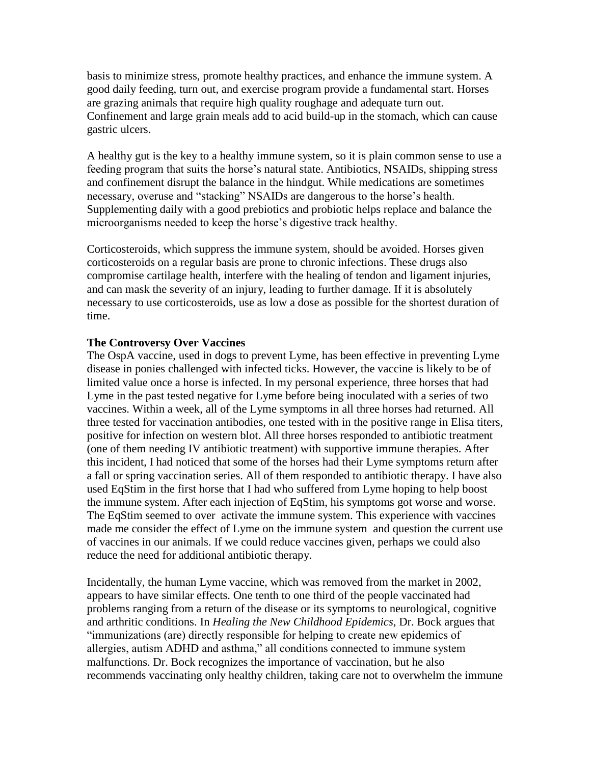basis to minimize stress, promote healthy practices, and enhance the immune system. A good daily feeding, turn out, and exercise program provide a fundamental start. Horses are grazing animals that require high quality roughage and adequate turn out. Confinement and large grain meals add to acid build-up in the stomach, which can cause gastric ulcers.

A healthy gut is the key to a healthy immune system, so it is plain common sense to use a feeding program that suits the horse's natural state. Antibiotics, NSAIDs, shipping stress and confinement disrupt the balance in the hindgut. While medications are sometimes necessary, overuse and "stacking" NSAIDs are dangerous to the horse's health. Supplementing daily with a good prebiotics and probiotic helps replace and balance the microorganisms needed to keep the horse's digestive track healthy.

Corticosteroids, which suppress the immune system, should be avoided. Horses given corticosteroids on a regular basis are prone to chronic infections. These drugs also compromise cartilage health, interfere with the healing of tendon and ligament injuries, and can mask the severity of an injury, leading to further damage. If it is absolutely necessary to use corticosteroids, use as low a dose as possible for the shortest duration of time.

### **The Controversy Over Vaccines**

The OspA vaccine, used in dogs to prevent Lyme, has been effective in preventing Lyme disease in ponies challenged with infected ticks. However, the vaccine is likely to be of limited value once a horse is infected. In my personal experience, three horses that had Lyme in the past tested negative for Lyme before being inoculated with a series of two vaccines. Within a week, all of the Lyme symptoms in all three horses had returned. All three tested for vaccination antibodies, one tested with in the positive range in Elisa titers, positive for infection on western blot. All three horses responded to antibiotic treatment (one of them needing IV antibiotic treatment) with supportive immune therapies. After this incident, I had noticed that some of the horses had their Lyme symptoms return after a fall or spring vaccination series. All of them responded to antibiotic therapy. I have also used EqStim in the first horse that I had who suffered from Lyme hoping to help boost the immune system. After each injection of EqStim, his symptoms got worse and worse. The EqStim seemed to over activate the immune system. This experience with vaccines made me consider the effect of Lyme on the immune system and question the current use of vaccines in our animals. If we could reduce vaccines given, perhaps we could also reduce the need for additional antibiotic therapy.

Incidentally, the human Lyme vaccine, which was removed from the market in 2002, appears to have similar effects. One tenth to one third of the people vaccinated had problems ranging from a return of the disease or its symptoms to neurological, cognitive and arthritic conditions. In *Healing the New Childhood Epidemics*, Dr. Bock argues that "immunizations (are) directly responsible for helping to create new epidemics of allergies, autism ADHD and asthma," all conditions connected to immune system malfunctions. Dr. Bock recognizes the importance of vaccination, but he also recommends vaccinating only healthy children, taking care not to overwhelm the immune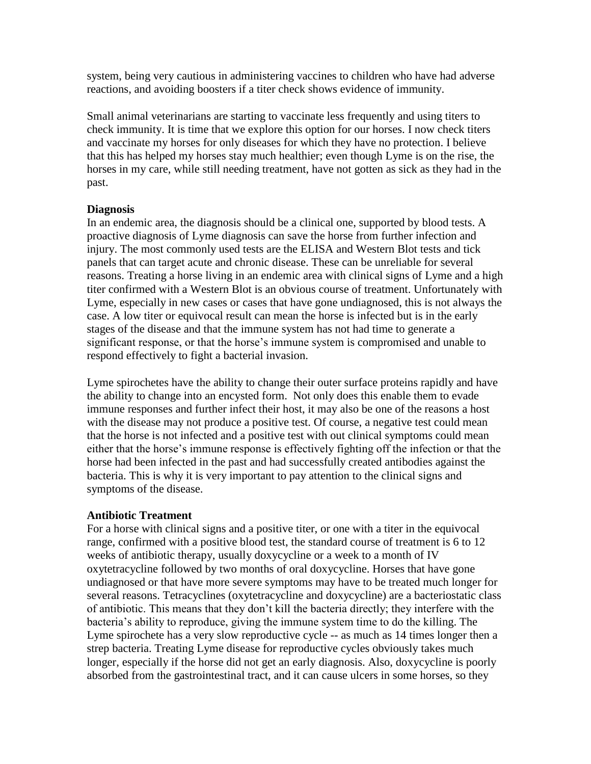system, being very cautious in administering vaccines to children who have had adverse reactions, and avoiding boosters if a titer check shows evidence of immunity.

Small animal veterinarians are starting to vaccinate less frequently and using titers to check immunity. It is time that we explore this option for our horses. I now check titers and vaccinate my horses for only diseases for which they have no protection. I believe that this has helped my horses stay much healthier; even though Lyme is on the rise, the horses in my care, while still needing treatment, have not gotten as sick as they had in the past.

### **Diagnosis**

In an endemic area, the diagnosis should be a clinical one, supported by blood tests. A proactive diagnosis of Lyme diagnosis can save the horse from further infection and injury. The most commonly used tests are the ELISA and Western Blot tests and tick panels that can target acute and chronic disease. These can be unreliable for several reasons. Treating a horse living in an endemic area with clinical signs of Lyme and a high titer confirmed with a Western Blot is an obvious course of treatment. Unfortunately with Lyme, especially in new cases or cases that have gone undiagnosed, this is not always the case. A low titer or equivocal result can mean the horse is infected but is in the early stages of the disease and that the immune system has not had time to generate a significant response, or that the horse's immune system is compromised and unable to respond effectively to fight a bacterial invasion.

Lyme spirochetes have the ability to change their outer surface proteins rapidly and have the ability to change into an encysted form. Not only does this enable them to evade immune responses and further infect their host, it may also be one of the reasons a host with the disease may not produce a positive test. Of course, a negative test could mean that the horse is not infected and a positive test with out clinical symptoms could mean either that the horse's immune response is effectively fighting off the infection or that the horse had been infected in the past and had successfully created antibodies against the bacteria. This is why it is very important to pay attention to the clinical signs and symptoms of the disease.

## **Antibiotic Treatment**

For a horse with clinical signs and a positive titer, or one with a titer in the equivocal range, confirmed with a positive blood test, the standard course of treatment is 6 to 12 weeks of antibiotic therapy, usually doxycycline or a week to a month of IV oxytetracycline followed by two months of oral doxycycline. Horses that have gone undiagnosed or that have more severe symptoms may have to be treated much longer for several reasons. Tetracyclines (oxytetracycline and doxycycline) are a bacteriostatic class of antibiotic. This means that they don't kill the bacteria directly; they interfere with the bacteria's ability to reproduce, giving the immune system time to do the killing. The Lyme spirochete has a very slow reproductive cycle -- as much as 14 times longer then a strep bacteria. Treating Lyme disease for reproductive cycles obviously takes much longer, especially if the horse did not get an early diagnosis. Also, doxycycline is poorly absorbed from the gastrointestinal tract, and it can cause ulcers in some horses, so they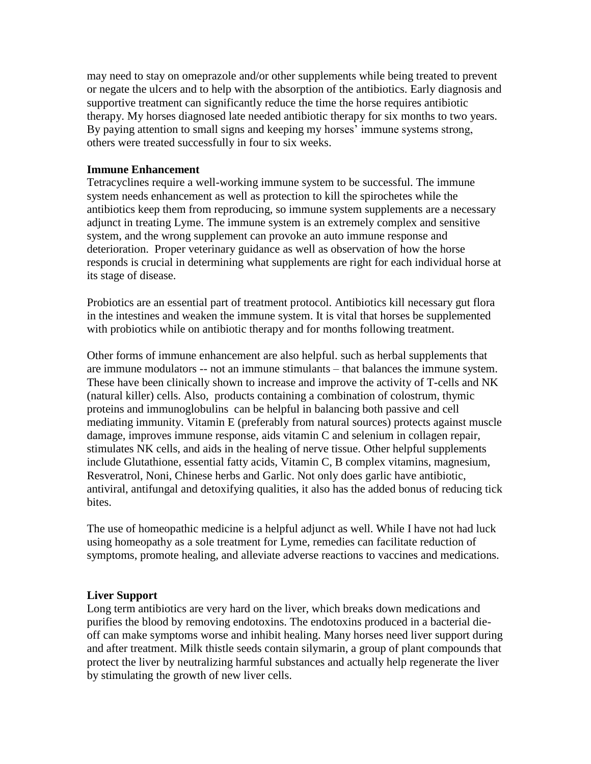may need to stay on omeprazole and/or other supplements while being treated to prevent or negate the ulcers and to help with the absorption of the antibiotics. Early diagnosis and supportive treatment can significantly reduce the time the horse requires antibiotic therapy. My horses diagnosed late needed antibiotic therapy for six months to two years. By paying attention to small signs and keeping my horses' immune systems strong, others were treated successfully in four to six weeks.

### **Immune Enhancement**

Tetracyclines require a well-working immune system to be successful. The immune system needs enhancement as well as protection to kill the spirochetes while the antibiotics keep them from reproducing, so immune system supplements are a necessary adjunct in treating Lyme. The immune system is an extremely complex and sensitive system, and the wrong supplement can provoke an auto immune response and deterioration. Proper veterinary guidance as well as observation of how the horse responds is crucial in determining what supplements are right for each individual horse at its stage of disease.

Probiotics are an essential part of treatment protocol. Antibiotics kill necessary gut flora in the intestines and weaken the immune system. It is vital that horses be supplemented with probiotics while on antibiotic therapy and for months following treatment.

Other forms of immune enhancement are also helpful. such as herbal supplements that are immune modulators -- not an immune stimulants – that balances the immune system. These have been clinically shown to increase and improve the activity of T-cells and NK (natural killer) cells. Also, products containing a combination of colostrum, thymic proteins and immunoglobulins can be helpful in balancing both passive and cell mediating immunity. Vitamin E (preferably from natural sources) protects against muscle damage, improves immune response, aids vitamin C and selenium in collagen repair, stimulates NK cells, and aids in the healing of nerve tissue. Other helpful supplements include Glutathione, essential fatty acids, Vitamin C, B complex vitamins, magnesium, Resveratrol, Noni, Chinese herbs and Garlic. Not only does garlic have antibiotic, antiviral, antifungal and detoxifying qualities, it also has the added bonus of reducing tick bites.

The use of homeopathic medicine is a helpful adjunct as well. While I have not had luck using homeopathy as a sole treatment for Lyme, remedies can facilitate reduction of symptoms, promote healing, and alleviate adverse reactions to vaccines and medications.

### **Liver Support**

Long term antibiotics are very hard on the liver, which breaks down medications and purifies the blood by removing endotoxins. The endotoxins produced in a bacterial dieoff can make symptoms worse and inhibit healing. Many horses need liver support during and after treatment. Milk thistle seeds contain silymarin, a group of plant compounds that protect the liver by neutralizing harmful substances and actually help regenerate the liver by stimulating the growth of new liver cells.